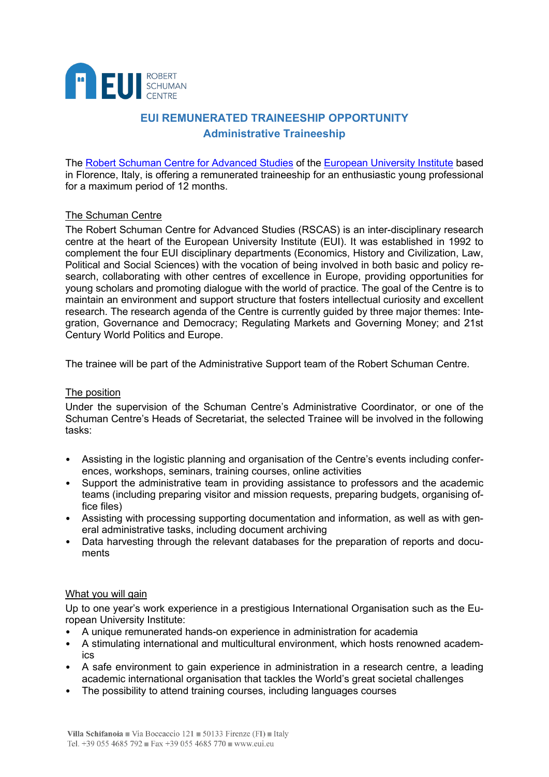

# **EUI REMUNERATED TRAINEESHIP OPPORTUNITY Administrative Traineeship**

The [Robert Schuman Centre for Advanced Studies](http://www.eui.eu/rscas) of the [European University Institute](https://www.eui.eu/About) based in Florence, Italy, is offering a remunerated traineeship for an enthusiastic young professional for a maximum period of 12 months.

## The Schuman Centre

The Robert Schuman Centre for Advanced Studies (RSCAS) is an inter-disciplinary research centre at the heart of the European University Institute (EUI). It was established in 1992 to complement the four EUI disciplinary departments (Economics, History and Civilization, Law, Political and Social Sciences) with the vocation of being involved in both basic and policy research, collaborating with other centres of excellence in Europe, providing opportunities for young scholars and promoting dialogue with the world of practice. The goal of the Centre is to maintain an environment and support structure that fosters intellectual curiosity and excellent research. The research agenda of the Centre is currently guided by three major themes: Integration, Governance and Democracy; Regulating Markets and Governing Money; and 21st Century World Politics and Europe.

The trainee will be part of the Administrative Support team of the Robert Schuman Centre.

### The position

Under the supervision of the Schuman Centre's Administrative Coordinator, or one of the Schuman Centre's Heads of Secretariat, the selected Trainee will be involved in the following tasks:

- Assisting in the logistic planning and organisation of the Centre's events including conferences, workshops, seminars, training courses, online activities
- Support the administrative team in providing assistance to professors and the academic teams (including preparing visitor and mission requests, preparing budgets, organising office files)
- Assisting with processing supporting documentation and information, as well as with general administrative tasks, including document archiving
- Data harvesting through the relevant databases for the preparation of reports and documents

### What you will gain

Up to one year's work experience in a prestigious International Organisation such as the European University Institute:

- A unique remunerated hands-on experience in administration for academia
- A stimulating international and multicultural environment, which hosts renowned academics
- A safe environment to gain experience in administration in a research centre, a leading academic international organisation that tackles the World's great societal challenges
- The possibility to attend training courses, including languages courses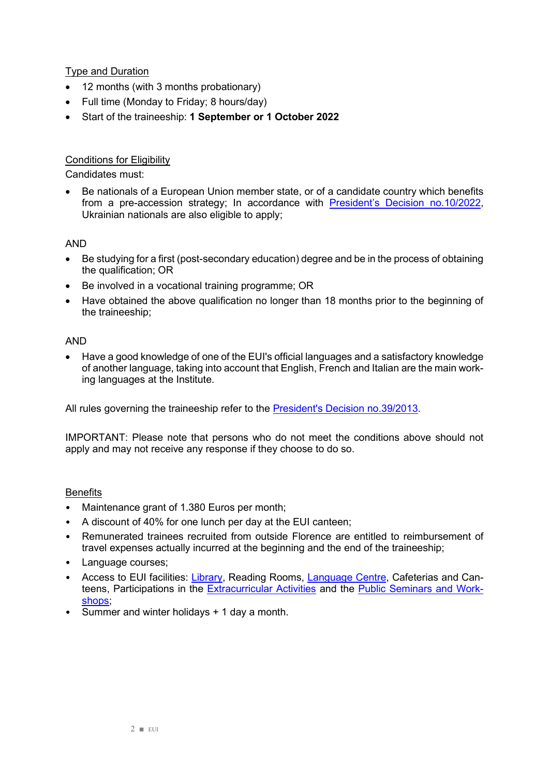Type and Duration

- 12 months (with 3 months probationary)
- Full time (Monday to Friday; 8 hours/day)
- Start of the traineeship: **1 September or 1 October 2022**

## Conditions for Eligibility

Candidates must:

• Be nationals of a European Union member state, or of a candidate country which benefits from a pre-accession strategy; In accordance with **President's Decision no.10/2022**, Ukrainian nationals are also eligible to apply;

#### AND

- Be studying for a first (post-secondary education) degree and be in the process of obtaining the qualification; OR
- Be involved in a vocational training programme; OR
- Have obtained the above qualification no longer than 18 months prior to the beginning of the traineeship;

#### AND

• Have a good knowledge of one of the EUI's official languages and a satisfactory knowledge of another language, taking into account that English, French and Italian are the main working languages at the Institute.

All rules governing the traineeship refer to the [President's Decision no.39/2013.](https://www.eui.eu/Documents/AboutEUI/JobOpportunities/Dec39-Traineeships.pdf)

IMPORTANT: Please note that persons who do not meet the conditions above should not apply and may not receive any response if they choose to do so.

#### **Benefits**

- Maintenance grant of 1.380 Euros per month;
- A discount of 40% for one lunch per day at the EUI canteen;
- Remunerated trainees recruited from outside Florence are entitled to reimbursement of travel expenses actually incurred at the beginning and the end of the traineeship;
- Language courses;
- Access to EUI facilities: [Library,](https://www.eui.eu/en/services/library) Reading Rooms, [Language Centre,](https://www.eui.eu/en/services/academic-service/language-centre) Cafeterias and Canteens, Participations in the [Extracurricular Activities](https://www.eui.eu/ServicesAndAdmin/ExtracurricularActivities) and the [Public Seminars and Work](https://www.eui.eu/events)[shops;](https://www.eui.eu/events)
- Summer and winter holidays + 1 day a month.